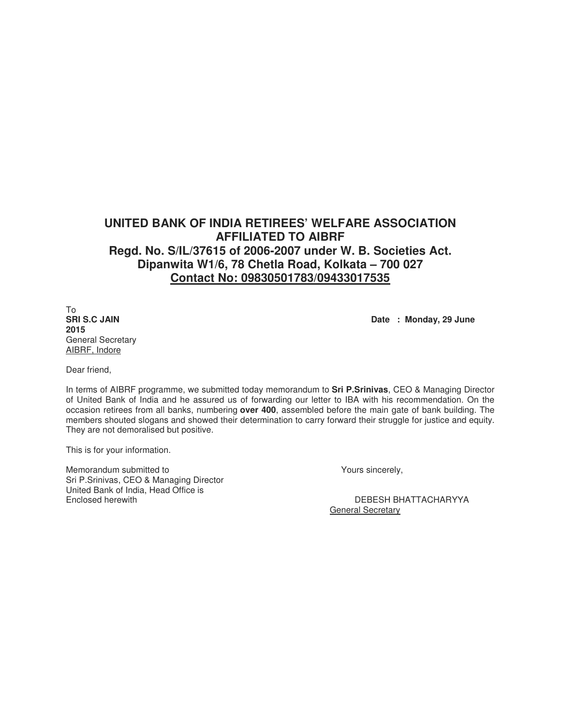## **UNITED BANK OF INDIA RETIREES' WELFARE ASSOCIATION AFFILIATED TO AIBRF Regd. No. S/IL/37615 of 2006-2007 under W. B. Societies Act. Dipanwita W1/6, 78 Chetla Road, Kolkata – 700 027 Contact No: 09830501783/09433017535**

To<br>**SRI S.C JAIN 2015** General Secretary AIBRF, Indore

Date : Monday, 29 June

Dear friend,

In terms of AIBRF programme, we submitted today memorandum to **Sri P.Srinivas**, CEO & Managing Director of United Bank of India and he assured us of forwarding our letter to IBA with his recommendation. On the occasion retirees from all banks, numbering **over 400**, assembled before the main gate of bank building. The members shouted slogans and showed their determination to carry forward their struggle for justice and equity. They are not demoralised but positive.

This is for your information.

Memorandum submitted to  $\blacksquare$ Sri P.Srinivas, CEO & Managing Director United Bank of India, Head Office is Enclosed herewith DEBESH BHATTACHARYYA

General Secretary